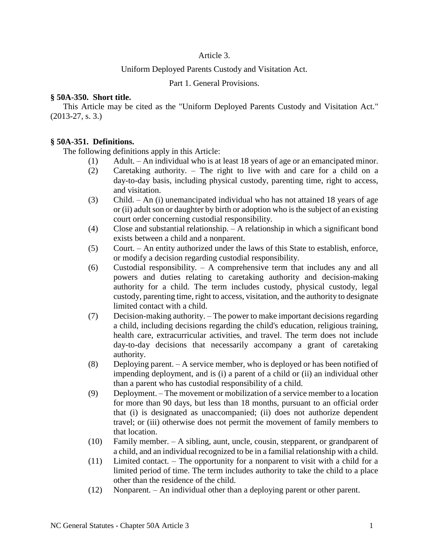# Article 3.

## Uniform Deployed Parents Custody and Visitation Act.

Part 1. General Provisions.

### **§ 50A-350. Short title.**

This Article may be cited as the "Uniform Deployed Parents Custody and Visitation Act." (2013-27, s. 3.)

## **§ 50A-351. Definitions.**

The following definitions apply in this Article:

- (1) Adult. An individual who is at least 18 years of age or an emancipated minor.
- (2) Caretaking authority. The right to live with and care for a child on a day-to-day basis, including physical custody, parenting time, right to access, and visitation.
- (3) Child. An (i) unemancipated individual who has not attained 18 years of age or (ii) adult son or daughter by birth or adoption who is the subject of an existing court order concerning custodial responsibility.
- (4) Close and substantial relationship. A relationship in which a significant bond exists between a child and a nonparent.
- (5) Court. An entity authorized under the laws of this State to establish, enforce, or modify a decision regarding custodial responsibility.
- (6) Custodial responsibility. A comprehensive term that includes any and all powers and duties relating to caretaking authority and decision-making authority for a child. The term includes custody, physical custody, legal custody, parenting time, right to access, visitation, and the authority to designate limited contact with a child.
- (7) Decision-making authority. The power to make important decisions regarding a child, including decisions regarding the child's education, religious training, health care, extracurricular activities, and travel. The term does not include day-to-day decisions that necessarily accompany a grant of caretaking authority.
- (8) Deploying parent. A service member, who is deployed or has been notified of impending deployment, and is (i) a parent of a child or (ii) an individual other than a parent who has custodial responsibility of a child.
- (9) Deployment. The movement or mobilization of a service member to a location for more than 90 days, but less than 18 months, pursuant to an official order that (i) is designated as unaccompanied; (ii) does not authorize dependent travel; or (iii) otherwise does not permit the movement of family members to that location.
- (10) Family member. A sibling, aunt, uncle, cousin, stepparent, or grandparent of a child, and an individual recognized to be in a familial relationship with a child.
- (11) Limited contact. The opportunity for a nonparent to visit with a child for a limited period of time. The term includes authority to take the child to a place other than the residence of the child.
- (12) Nonparent. An individual other than a deploying parent or other parent.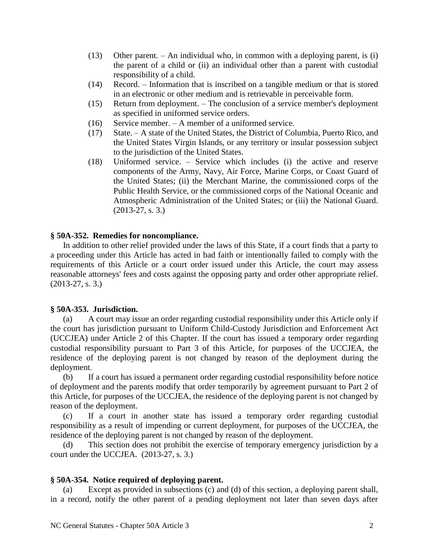- (13) Other parent. An individual who, in common with a deploying parent, is (i) the parent of a child or (ii) an individual other than a parent with custodial responsibility of a child.
- (14) Record. Information that is inscribed on a tangible medium or that is stored in an electronic or other medium and is retrievable in perceivable form.
- (15) Return from deployment. The conclusion of a service member's deployment as specified in uniformed service orders.
- (16) Service member. A member of a uniformed service.
- (17) State. A state of the United States, the District of Columbia, Puerto Rico, and the United States Virgin Islands, or any territory or insular possession subject to the jurisdiction of the United States.
- (18) Uniformed service. Service which includes (i) the active and reserve components of the Army, Navy, Air Force, Marine Corps, or Coast Guard of the United States; (ii) the Merchant Marine, the commissioned corps of the Public Health Service, or the commissioned corps of the National Oceanic and Atmospheric Administration of the United States; or (iii) the National Guard. (2013-27, s. 3.)

# **§ 50A-352. Remedies for noncompliance.**

In addition to other relief provided under the laws of this State, if a court finds that a party to a proceeding under this Article has acted in bad faith or intentionally failed to comply with the requirements of this Article or a court order issued under this Article, the court may assess reasonable attorneys' fees and costs against the opposing party and order other appropriate relief. (2013-27, s. 3.)

## **§ 50A-353. Jurisdiction.**

(a) A court may issue an order regarding custodial responsibility under this Article only if the court has jurisdiction pursuant to Uniform Child-Custody Jurisdiction and Enforcement Act (UCCJEA) under Article 2 of this Chapter. If the court has issued a temporary order regarding custodial responsibility pursuant to Part 3 of this Article, for purposes of the UCCJEA, the residence of the deploying parent is not changed by reason of the deployment during the deployment.

(b) If a court has issued a permanent order regarding custodial responsibility before notice of deployment and the parents modify that order temporarily by agreement pursuant to Part 2 of this Article, for purposes of the UCCJEA, the residence of the deploying parent is not changed by reason of the deployment.

(c) If a court in another state has issued a temporary order regarding custodial responsibility as a result of impending or current deployment, for purposes of the UCCJEA, the residence of the deploying parent is not changed by reason of the deployment.

(d) This section does not prohibit the exercise of temporary emergency jurisdiction by a court under the UCCJEA. (2013-27, s. 3.)

# **§ 50A-354. Notice required of deploying parent.**

(a) Except as provided in subsections (c) and (d) of this section, a deploying parent shall, in a record, notify the other parent of a pending deployment not later than seven days after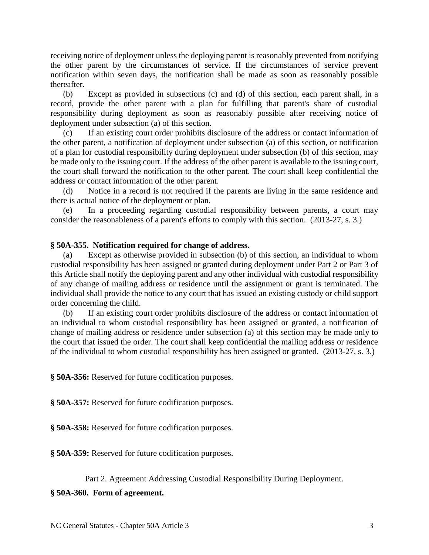receiving notice of deployment unless the deploying parent is reasonably prevented from notifying the other parent by the circumstances of service. If the circumstances of service prevent notification within seven days, the notification shall be made as soon as reasonably possible thereafter.

(b) Except as provided in subsections (c) and (d) of this section, each parent shall, in a record, provide the other parent with a plan for fulfilling that parent's share of custodial responsibility during deployment as soon as reasonably possible after receiving notice of deployment under subsection (a) of this section.

(c) If an existing court order prohibits disclosure of the address or contact information of the other parent, a notification of deployment under subsection (a) of this section, or notification of a plan for custodial responsibility during deployment under subsection (b) of this section, may be made only to the issuing court. If the address of the other parent is available to the issuing court, the court shall forward the notification to the other parent. The court shall keep confidential the address or contact information of the other parent.

(d) Notice in a record is not required if the parents are living in the same residence and there is actual notice of the deployment or plan.

(e) In a proceeding regarding custodial responsibility between parents, a court may consider the reasonableness of a parent's efforts to comply with this section. (2013-27, s. 3.)

# **§ 50A-355. Notification required for change of address.**

(a) Except as otherwise provided in subsection (b) of this section, an individual to whom custodial responsibility has been assigned or granted during deployment under Part 2 or Part 3 of this Article shall notify the deploying parent and any other individual with custodial responsibility of any change of mailing address or residence until the assignment or grant is terminated. The individual shall provide the notice to any court that has issued an existing custody or child support order concerning the child.

(b) If an existing court order prohibits disclosure of the address or contact information of an individual to whom custodial responsibility has been assigned or granted, a notification of change of mailing address or residence under subsection (a) of this section may be made only to the court that issued the order. The court shall keep confidential the mailing address or residence of the individual to whom custodial responsibility has been assigned or granted. (2013-27, s. 3.)

**§ 50A-356:** Reserved for future codification purposes.

**§ 50A-357:** Reserved for future codification purposes.

**§ 50A-358:** Reserved for future codification purposes.

**§ 50A-359:** Reserved for future codification purposes.

## Part 2. Agreement Addressing Custodial Responsibility During Deployment.

## **§ 50A-360. Form of agreement.**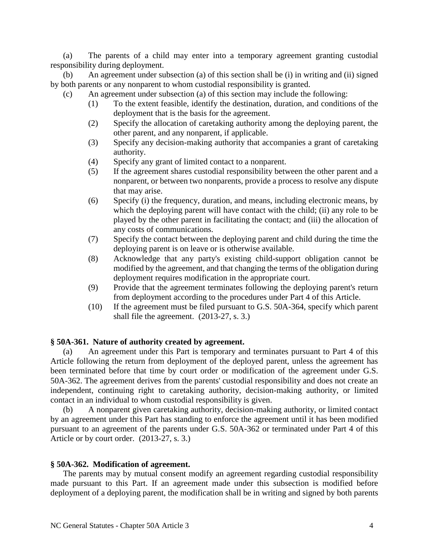(a) The parents of a child may enter into a temporary agreement granting custodial responsibility during deployment.

(b) An agreement under subsection (a) of this section shall be (i) in writing and (ii) signed by both parents or any nonparent to whom custodial responsibility is granted.

- (c) An agreement under subsection (a) of this section may include the following:
	- (1) To the extent feasible, identify the destination, duration, and conditions of the deployment that is the basis for the agreement.
	- (2) Specify the allocation of caretaking authority among the deploying parent, the other parent, and any nonparent, if applicable.
	- (3) Specify any decision-making authority that accompanies a grant of caretaking authority.
	- (4) Specify any grant of limited contact to a nonparent.
	- (5) If the agreement shares custodial responsibility between the other parent and a nonparent, or between two nonparents, provide a process to resolve any dispute that may arise.
	- (6) Specify (i) the frequency, duration, and means, including electronic means, by which the deploying parent will have contact with the child; (ii) any role to be played by the other parent in facilitating the contact; and (iii) the allocation of any costs of communications.
	- (7) Specify the contact between the deploying parent and child during the time the deploying parent is on leave or is otherwise available.
	- (8) Acknowledge that any party's existing child-support obligation cannot be modified by the agreement, and that changing the terms of the obligation during deployment requires modification in the appropriate court.
	- (9) Provide that the agreement terminates following the deploying parent's return from deployment according to the procedures under Part 4 of this Article.
	- (10) If the agreement must be filed pursuant to G.S. 50A-364, specify which parent shall file the agreement. (2013-27, s. 3.)

#### **§ 50A-361. Nature of authority created by agreement.**

(a) An agreement under this Part is temporary and terminates pursuant to Part 4 of this Article following the return from deployment of the deployed parent, unless the agreement has been terminated before that time by court order or modification of the agreement under G.S. 50A-362. The agreement derives from the parents' custodial responsibility and does not create an independent, continuing right to caretaking authority, decision-making authority, or limited contact in an individual to whom custodial responsibility is given.

(b) A nonparent given caretaking authority, decision-making authority, or limited contact by an agreement under this Part has standing to enforce the agreement until it has been modified pursuant to an agreement of the parents under G.S. 50A-362 or terminated under Part 4 of this Article or by court order. (2013-27, s. 3.)

#### **§ 50A-362. Modification of agreement.**

The parents may by mutual consent modify an agreement regarding custodial responsibility made pursuant to this Part. If an agreement made under this subsection is modified before deployment of a deploying parent, the modification shall be in writing and signed by both parents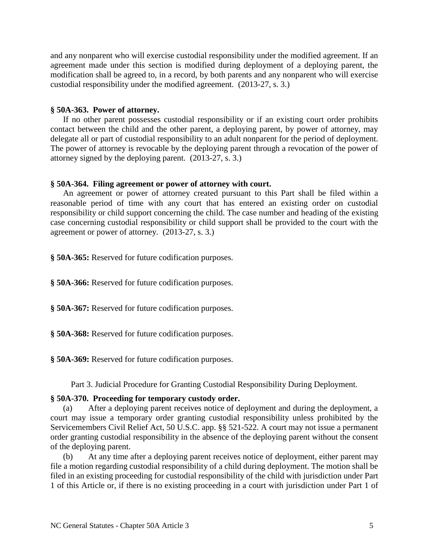and any nonparent who will exercise custodial responsibility under the modified agreement. If an agreement made under this section is modified during deployment of a deploying parent, the modification shall be agreed to, in a record, by both parents and any nonparent who will exercise custodial responsibility under the modified agreement. (2013-27, s. 3.)

#### **§ 50A-363. Power of attorney.**

If no other parent possesses custodial responsibility or if an existing court order prohibits contact between the child and the other parent, a deploying parent, by power of attorney, may delegate all or part of custodial responsibility to an adult nonparent for the period of deployment. The power of attorney is revocable by the deploying parent through a revocation of the power of attorney signed by the deploying parent. (2013-27, s. 3.)

#### **§ 50A-364. Filing agreement or power of attorney with court.**

An agreement or power of attorney created pursuant to this Part shall be filed within a reasonable period of time with any court that has entered an existing order on custodial responsibility or child support concerning the child. The case number and heading of the existing case concerning custodial responsibility or child support shall be provided to the court with the agreement or power of attorney. (2013-27, s. 3.)

**§ 50A-365:** Reserved for future codification purposes.

**§ 50A-366:** Reserved for future codification purposes.

**§ 50A-367:** Reserved for future codification purposes.

**§ 50A-368:** Reserved for future codification purposes.

**§ 50A-369:** Reserved for future codification purposes.

Part 3. Judicial Procedure for Granting Custodial Responsibility During Deployment.

#### **§ 50A-370. Proceeding for temporary custody order.**

(a) After a deploying parent receives notice of deployment and during the deployment, a court may issue a temporary order granting custodial responsibility unless prohibited by the Servicemembers Civil Relief Act, 50 U.S.C. app. §§ 521-522. A court may not issue a permanent order granting custodial responsibility in the absence of the deploying parent without the consent of the deploying parent.

(b) At any time after a deploying parent receives notice of deployment, either parent may file a motion regarding custodial responsibility of a child during deployment. The motion shall be filed in an existing proceeding for custodial responsibility of the child with jurisdiction under Part 1 of this Article or, if there is no existing proceeding in a court with jurisdiction under Part 1 of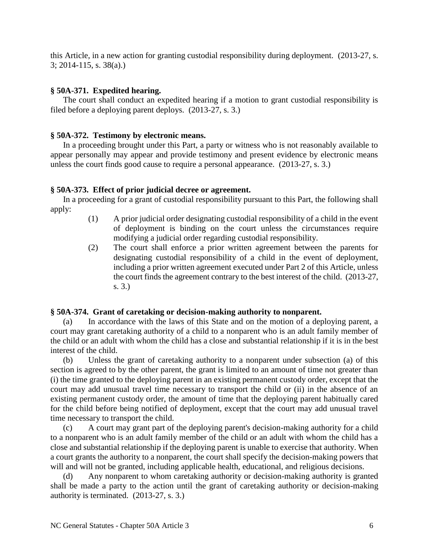this Article, in a new action for granting custodial responsibility during deployment. (2013-27, s. 3; 2014-115, s. 38(a).)

# **§ 50A-371. Expedited hearing.**

The court shall conduct an expedited hearing if a motion to grant custodial responsibility is filed before a deploying parent deploys. (2013-27, s. 3.)

# **§ 50A-372. Testimony by electronic means.**

In a proceeding brought under this Part, a party or witness who is not reasonably available to appear personally may appear and provide testimony and present evidence by electronic means unless the court finds good cause to require a personal appearance. (2013-27, s. 3.)

# **§ 50A-373. Effect of prior judicial decree or agreement.**

In a proceeding for a grant of custodial responsibility pursuant to this Part, the following shall apply:

- (1) A prior judicial order designating custodial responsibility of a child in the event of deployment is binding on the court unless the circumstances require modifying a judicial order regarding custodial responsibility.
- (2) The court shall enforce a prior written agreement between the parents for designating custodial responsibility of a child in the event of deployment, including a prior written agreement executed under Part 2 of this Article, unless the court finds the agreement contrary to the best interest of the child. (2013-27, s. 3.)

## **§ 50A-374. Grant of caretaking or decision-making authority to nonparent.**

(a) In accordance with the laws of this State and on the motion of a deploying parent, a court may grant caretaking authority of a child to a nonparent who is an adult family member of the child or an adult with whom the child has a close and substantial relationship if it is in the best interest of the child.

(b) Unless the grant of caretaking authority to a nonparent under subsection (a) of this section is agreed to by the other parent, the grant is limited to an amount of time not greater than (i) the time granted to the deploying parent in an existing permanent custody order, except that the court may add unusual travel time necessary to transport the child or (ii) in the absence of an existing permanent custody order, the amount of time that the deploying parent habitually cared for the child before being notified of deployment, except that the court may add unusual travel time necessary to transport the child.

(c) A court may grant part of the deploying parent's decision-making authority for a child to a nonparent who is an adult family member of the child or an adult with whom the child has a close and substantial relationship if the deploying parent is unable to exercise that authority. When a court grants the authority to a nonparent, the court shall specify the decision-making powers that will and will not be granted, including applicable health, educational, and religious decisions.

(d) Any nonparent to whom caretaking authority or decision-making authority is granted shall be made a party to the action until the grant of caretaking authority or decision-making authority is terminated. (2013-27, s. 3.)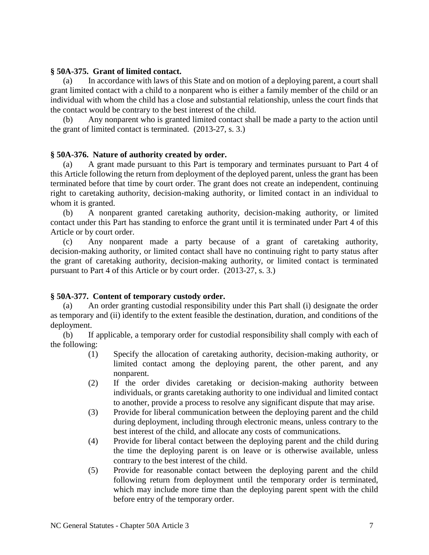### **§ 50A-375. Grant of limited contact.**

(a) In accordance with laws of this State and on motion of a deploying parent, a court shall grant limited contact with a child to a nonparent who is either a family member of the child or an individual with whom the child has a close and substantial relationship, unless the court finds that the contact would be contrary to the best interest of the child.

(b) Any nonparent who is granted limited contact shall be made a party to the action until the grant of limited contact is terminated. (2013-27, s. 3.)

## **§ 50A-376. Nature of authority created by order.**

(a) A grant made pursuant to this Part is temporary and terminates pursuant to Part 4 of this Article following the return from deployment of the deployed parent, unless the grant has been terminated before that time by court order. The grant does not create an independent, continuing right to caretaking authority, decision-making authority, or limited contact in an individual to whom it is granted.

(b) A nonparent granted caretaking authority, decision-making authority, or limited contact under this Part has standing to enforce the grant until it is terminated under Part 4 of this Article or by court order.

(c) Any nonparent made a party because of a grant of caretaking authority, decision-making authority, or limited contact shall have no continuing right to party status after the grant of caretaking authority, decision-making authority, or limited contact is terminated pursuant to Part 4 of this Article or by court order. (2013-27, s. 3.)

## **§ 50A-377. Content of temporary custody order.**

(a) An order granting custodial responsibility under this Part shall (i) designate the order as temporary and (ii) identify to the extent feasible the destination, duration, and conditions of the deployment.

(b) If applicable, a temporary order for custodial responsibility shall comply with each of the following:

- (1) Specify the allocation of caretaking authority, decision-making authority, or limited contact among the deploying parent, the other parent, and any nonparent.
- (2) If the order divides caretaking or decision-making authority between individuals, or grants caretaking authority to one individual and limited contact to another, provide a process to resolve any significant dispute that may arise.
- (3) Provide for liberal communication between the deploying parent and the child during deployment, including through electronic means, unless contrary to the best interest of the child, and allocate any costs of communications.
- (4) Provide for liberal contact between the deploying parent and the child during the time the deploying parent is on leave or is otherwise available, unless contrary to the best interest of the child.
- (5) Provide for reasonable contact between the deploying parent and the child following return from deployment until the temporary order is terminated, which may include more time than the deploying parent spent with the child before entry of the temporary order.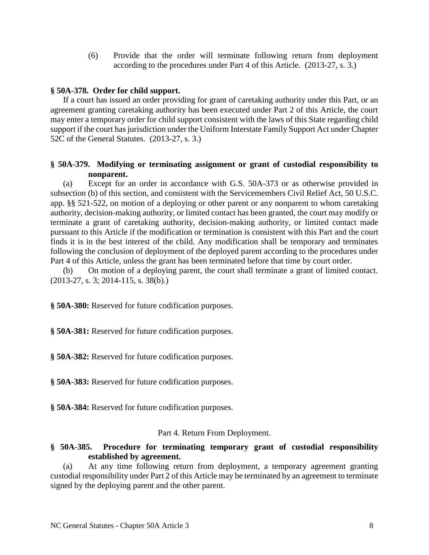(6) Provide that the order will terminate following return from deployment according to the procedures under Part 4 of this Article. (2013-27, s. 3.)

# **§ 50A-378. Order for child support.**

If a court has issued an order providing for grant of caretaking authority under this Part, or an agreement granting caretaking authority has been executed under Part 2 of this Article, the court may enter a temporary order for child support consistent with the laws of this State regarding child support if the court has jurisdiction under the Uniform Interstate Family Support Act under Chapter 52C of the General Statutes. (2013-27, s. 3.)

# **§ 50A-379. Modifying or terminating assignment or grant of custodial responsibility to nonparent.**

(a) Except for an order in accordance with G.S. 50A-373 or as otherwise provided in subsection (b) of this section, and consistent with the Servicemembers Civil Relief Act, 50 U.S.C. app. §§ 521-522, on motion of a deploying or other parent or any nonparent to whom caretaking authority, decision-making authority, or limited contact has been granted, the court may modify or terminate a grant of caretaking authority, decision-making authority, or limited contact made pursuant to this Article if the modification or termination is consistent with this Part and the court finds it is in the best interest of the child. Any modification shall be temporary and terminates following the conclusion of deployment of the deployed parent according to the procedures under Part 4 of this Article, unless the grant has been terminated before that time by court order.

(b) On motion of a deploying parent, the court shall terminate a grant of limited contact. (2013-27, s. 3; 2014-115, s. 38(b).)

**§ 50A-380:** Reserved for future codification purposes.

**§ 50A-381:** Reserved for future codification purposes.

**§ 50A-382:** Reserved for future codification purposes.

**§ 50A-383:** Reserved for future codification purposes.

**§ 50A-384:** Reserved for future codification purposes.

## Part 4. Return From Deployment.

# **§ 50A-385. Procedure for terminating temporary grant of custodial responsibility established by agreement.**

(a) At any time following return from deployment, a temporary agreement granting custodial responsibility under Part 2 of this Article may be terminated by an agreement to terminate signed by the deploying parent and the other parent.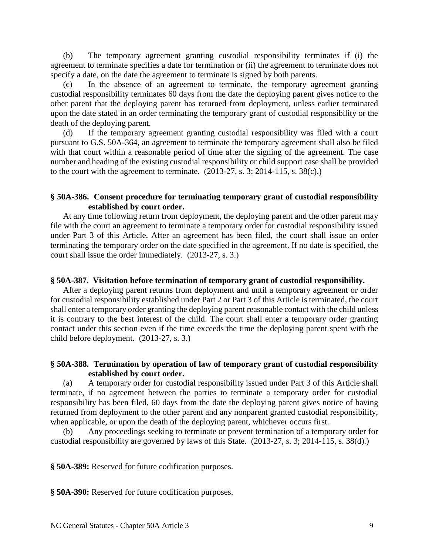(b) The temporary agreement granting custodial responsibility terminates if (i) the agreement to terminate specifies a date for termination or (ii) the agreement to terminate does not specify a date, on the date the agreement to terminate is signed by both parents.

In the absence of an agreement to terminate, the temporary agreement granting custodial responsibility terminates 60 days from the date the deploying parent gives notice to the other parent that the deploying parent has returned from deployment, unless earlier terminated upon the date stated in an order terminating the temporary grant of custodial responsibility or the death of the deploying parent.

(d) If the temporary agreement granting custodial responsibility was filed with a court pursuant to G.S. 50A-364, an agreement to terminate the temporary agreement shall also be filed with that court within a reasonable period of time after the signing of the agreement. The case number and heading of the existing custodial responsibility or child support case shall be provided to the court with the agreement to terminate.  $(2013-27, s. 3; 2014-115, s. 38(c))$ 

## **§ 50A-386. Consent procedure for terminating temporary grant of custodial responsibility established by court order.**

At any time following return from deployment, the deploying parent and the other parent may file with the court an agreement to terminate a temporary order for custodial responsibility issued under Part 3 of this Article. After an agreement has been filed, the court shall issue an order terminating the temporary order on the date specified in the agreement. If no date is specified, the court shall issue the order immediately. (2013-27, s. 3.)

#### **§ 50A-387. Visitation before termination of temporary grant of custodial responsibility.**

After a deploying parent returns from deployment and until a temporary agreement or order for custodial responsibility established under Part 2 or Part 3 of this Article is terminated, the court shall enter a temporary order granting the deploying parent reasonable contact with the child unless it is contrary to the best interest of the child. The court shall enter a temporary order granting contact under this section even if the time exceeds the time the deploying parent spent with the child before deployment. (2013-27, s. 3.)

## **§ 50A-388. Termination by operation of law of temporary grant of custodial responsibility established by court order.**

(a) A temporary order for custodial responsibility issued under Part 3 of this Article shall terminate, if no agreement between the parties to terminate a temporary order for custodial responsibility has been filed, 60 days from the date the deploying parent gives notice of having returned from deployment to the other parent and any nonparent granted custodial responsibility, when applicable, or upon the death of the deploying parent, whichever occurs first.

(b) Any proceedings seeking to terminate or prevent termination of a temporary order for custodial responsibility are governed by laws of this State. (2013-27, s. 3; 2014-115, s. 38(d).)

**§ 50A-389:** Reserved for future codification purposes.

**§ 50A-390:** Reserved for future codification purposes.